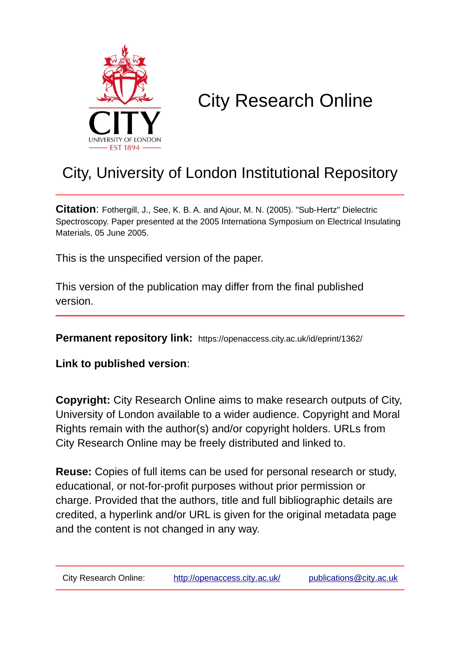

# City Research Online

# City, University of London Institutional Repository

**Citation**: Fothergill, J., See, K. B. A. and Ajour, M. N. (2005). "Sub-Hertz" Dielectric Spectroscopy. Paper presented at the 2005 Internationa Symposium on Electrical Insulating Materials, 05 June 2005.

This is the unspecified version of the paper.

This version of the publication may differ from the final published version.

**Permanent repository link:** https://openaccess.city.ac.uk/id/eprint/1362/

**Link to published version**:

**Copyright:** City Research Online aims to make research outputs of City, University of London available to a wider audience. Copyright and Moral Rights remain with the author(s) and/or copyright holders. URLs from City Research Online may be freely distributed and linked to.

**Reuse:** Copies of full items can be used for personal research or study, educational, or not-for-profit purposes without prior permission or charge. Provided that the authors, title and full bibliographic details are credited, a hyperlink and/or URL is given for the original metadata page and the content is not changed in any way.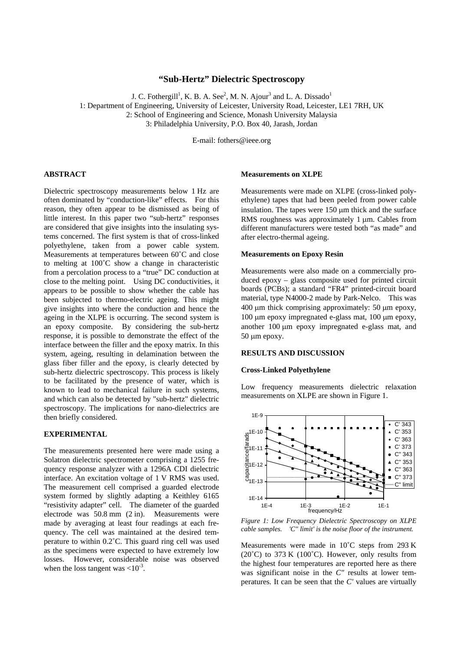# **"Sub-Hertz" Dielectric Spectroscopy**

J. C. Fothergill<sup>1</sup>, K. B. A. See<sup>2</sup>, M. N. Ajour<sup>3</sup> and L. A. Dissado<sup>1</sup>

1: Department of Engineering, University of Leicester, University Road, Leicester, LE1 7RH, UK

2: School of Engineering and Science, Monash University Malaysia

3: Philadelphia University, P.O. Box 40, Jarash, Jordan

E-mail: fothers@ieee.org

# **ABSTRACT**

Dielectric spectroscopy measurements below 1 Hz are often dominated by "conduction-like" effects. For this reason, they often appear to be dismissed as being of little interest. In this paper two "sub-hertz" responses are considered that give insights into the insulating systems concerned. The first system is that of cross-linked polyethylene, taken from a power cable system. Measurements at temperatures between 60˚C and close to melting at 100˚C show a change in characteristic from a percolation process to a "true" DC conduction at close to the melting point. Using DC conductivities, it appears to be possible to show whether the cable has been subjected to thermo-electric ageing. This might give insights into where the conduction and hence the ageing in the XLPE is occurring. The second system is an epoxy composite. By considering the sub-hertz response, it is possible to demonstrate the effect of the interface between the filler and the epoxy matrix. In this system, ageing, resulting in delamination between the glass fiber filler and the epoxy, is clearly detected by sub-hertz dielectric spectroscopy. This process is likely to be facilitated by the presence of water, which is known to lead to mechanical failure in such systems, and which can also be detected by "sub-hertz" dielectric spectroscopy. The implications for nano-dielectrics are then briefly considered.

## **EXPERIMENTAL**

The measurements presented here were made using a Solatron dielectric spectrometer comprising a 1255 frequency response analyzer with a 1296A CDI dielectric interface. An excitation voltage of 1 V RMS was used. The measurement cell comprised a guarded electrode system formed by slightly adapting a Keithley 6165 "resistivity adapter" cell. The diameter of the guarded electrode was 50.8 mm (2 in). Measurements were made by averaging at least four readings at each frequency. The cell was maintained at the desired temperature to within 0.2˚C. This guard ring cell was used as the specimens were expected to have extremely low losses. However, considerable noise was observed when the loss tangent was  $< 10^{-3}$ .

# **Measurements on XLPE**

Measurements were made on XLPE (cross-linked polyethylene) tapes that had been peeled from power cable insulation. The tapes were  $150 \mu m$  thick and the surface RMS roughness was approximately 1  $\mu$ m. Cables from different manufacturers were tested both "as made" and after electro-thermal ageing.

## **Measurements on Epoxy Resin**

Measurements were also made on a commercially produced epoxy – glass composite used for printed circuit boards (PCBs); a standard "FR4" printed-circuit board material, type N4000-2 made by Park-Nelco. This was  $400 \mu m$  thick comprising approximately: 50  $\mu m$  epoxy, 100 µm epoxy impregnated e-glass mat, 100 µm epoxy, another 100 µm epoxy impregnated e-glass mat, and 50 um epoxy.

# **RESULTS AND DISCUSSION**

#### **Cross-Linked Polyethylene**

Low frequency measurements dielectric relaxation measurements on XLPE are shown in [Figure 1.](#page-1-0)

<span id="page-1-0"></span>

*Figure 1: Low Frequency Dielectric Spectroscopy on XLPE cable samples. 'C" limit' is the noise floor of the instrument.* 

Measurements were made in 10˚C steps from 293 K (20 $^{\circ}$ C) to 373 K (100 $^{\circ}$ C). However, only results from the highest four temperatures are reported here as there was significant noise in the *C*" results at lower temperatures. It can be seen that the *C'* values are virtually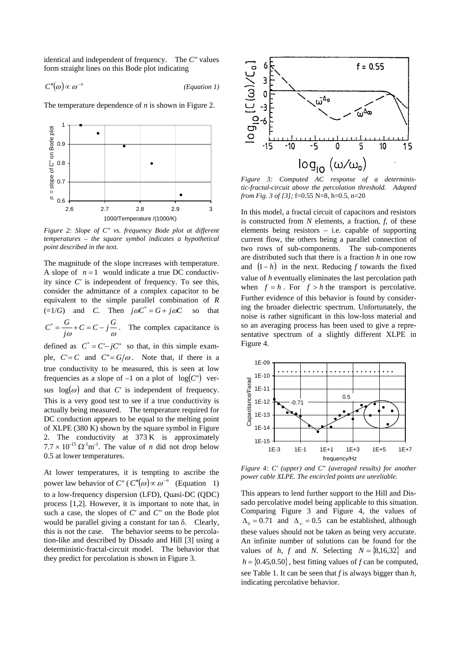identical and independent of frequency. The *C"* values form straight lines on this Bode plot indicating

<span id="page-2-1"></span> $C''(\omega) \propto \omega^{-n}$  (*Equation 1*)

The temperature dependence of *n* is shown in [Figure 2.](#page-2-0)

<span id="page-2-0"></span>

*Figure 2: Slope of C" vs. frequency Bode plot at different temperatures – the square symbol indicates a hypothetical point described in the text.* 

The magnitude of the slope increases with temperature. A slope of  $n = 1$  would indicate a true DC conductivity since *C'* is independent of frequency. To see this, consider the admittance of a complex capacitor to be equivalent to the simple parallel combination of *R*  $(=1/G)$  and *C*. Then  $j\omega C^* = G + j\omega C$  so that  $C^* = \frac{G}{j\omega} + C = C - j\frac{G}{\omega}$ . The complex capacitance is defined as  $C^* = C - jC^*$  so that, in this simple example,  $C = C$  and  $C'' = G/\omega$ . Note that, if there is a true conductivity to be measured, this is seen at low frequencies as a slope of  $-1$  on a plot of  $log(C<sup>n</sup>)$  versus  $log(\omega)$  and that *C'* is independent of frequency. This is a very good test to see if a true conductivity is actually being measured. The temperature required for DC conduction appears to be equal to the melting point of XLPE (380 K) shown by the square symbol in [Figure](#page-2-0)  [2.](#page-2-0) The conductivity at 373 K is approximately  $7.7 \times 10^{-15} \Omega^{-1}$  The value of *n* did not drop below 0.5 at lower temperatures.

<span id="page-2-5"></span>At lower temperatures, it is tempting to ascribe the power law behavior of *C"* ( $C''(\omega) \propto \omega^{-n}$  [\(Equation 1\)](#page-2-1) to a low-frequency dispersion (LFD), Quasi-DC (QDC) process [[1,](#page-4-0)[2\]](#page-4-1). However, it is important to note that, in such a case, the slopes of *C'* and *C"* on the Bode plot would be parallel giving a constant for tan δ. Clearly, this is not the case. The behavior seems to be percolation-like and described by Dissado and Hill [[3\]](#page-4-2) using a deterministic-fractal-circuit model. The behavior that they predict for percolation is shown in [Figure 3.](#page-2-2)

<span id="page-2-2"></span>

*Figure 3: Computed AC response of a deterministic-fractal-circuit above the percolation threshold. Adapted from Fig. 3 of [\[3\]](#page-2-3);* f=0.55 N=8, h=0.5, n=20

In this model, a fractal circuit of capacitors and resistors is constructed from *N* elements, a fraction, *f*, of these elements being resistors – i.e. capable of supporting current flow, the others being a parallel connection of two rows of sub-components. The sub-components are distributed such that there is a fraction *h* in one row and (1− *h*) in the next. Reducing *f* towards the fixed value of *h* eventually eliminates the last percolation path when  $f = h$ . For  $f > h$  the transport is percolative. Further evidence of this behavior is found by considering the broader dielectric spectrum. Unfortunately, the noise is rather significant in this low-loss material and so an averaging process has been used to give a representative spectrum of a slightly different XLPE in [Figure 4.](#page-2-4) 



<span id="page-2-4"></span>*Figure 4: C' (upper) and C" (averaged results) for another power cable XLPE. The encircled points are unreliable.* 

<span id="page-2-3"></span>This appears to lend further support to the Hill and Dissado percolative model being applicable to this situation. Comparing [Figure 3](#page-2-2) and [Figure 4,](#page-2-4) the values of  $\Delta_0 = 0.71$  and  $\Delta_{\infty} = 0.5$  can be established, although these values should not be taken as being very accurate. An infinite number of solutions can be found for the values of *h*, *f* and *N*. Selecting  $N = \{8,16,32\}$  and  $h = \{0.45, 0.50\}$ , best fitting values of *f* can be computed, see [Table 1.](#page-3-0) It can be seen that *f* is always bigger than *h*, indicating percolative behavior.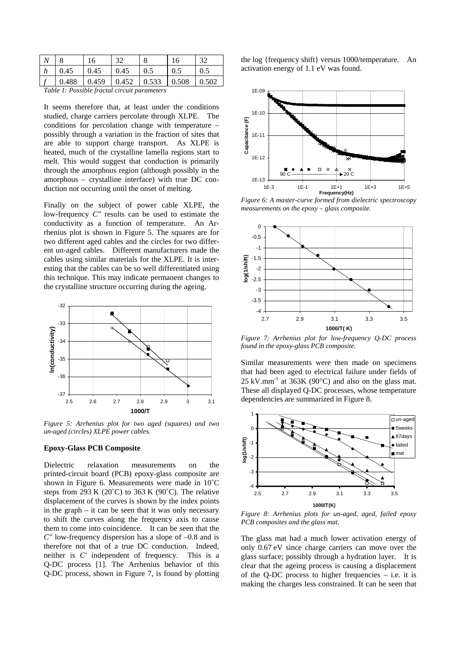| $\boldsymbol{N}$ | $\Omega$                 |       | 32    |         | 16    | 20    |
|------------------|--------------------------|-------|-------|---------|-------|-------|
| n                | 0.45                     | 0.45  | 0.45  | $0.5\,$ | 0.5   | 0.5   |
|                  | .488<br>$\overline{0}$ . | 0.459 | 0.452 | 0.533   | 0.508 | 0.502 |

<span id="page-3-0"></span>*Table 1: Possible fractal circuit parameters* 

It seems therefore that, at least under the conditions studied, charge carriers percolate through XLPE. The conditions for percolation change with temperature – possibly through a variation in the fraction of sites that are able to support charge transport. As XLPE is heated, much of the crystalline lamella regions start to melt. This would suggest that conduction is primarily through the amorphous region (although possibly in the amorphous – crystalline interface) with true DC conduction not occurring until the onset of melting.

Finally on the subject of power cable XLPE, the low-frequency *C"* results can be used to estimate the conductivity as a function of temperature. An Arrhenius plot is shown in [Figure 5.](#page-3-1) The squares are for two different aged cables and the circles for two different un-aged cables. Different manufacturers made the cables using similar materials for the XLPE. It is interesting that the cables can be so well differentiated using this technique. This may indicate permanent changes to the crystalline structure occurring during the ageing.

<span id="page-3-1"></span>

*Figure 5: Arrhenius plot for two aged (squares) and two un-aged (circles) XLPE power cables.* 

#### **Epoxy-Glass PCB Composite**

Dielectric relaxation measurements on the printed-circuit board (PCB) epoxy-glass composite are shown in [Figure 6.](#page-3-2) Measurements were made in 10˚C steps from 293 K (20 $^{\circ}$ C) to 363 K (90 $^{\circ}$ C). The relative displacement of the curves is shown by the index points in the graph – it can be seen that it was only necessary to shift the curves along the frequency axis to cause them to come into coincidence. It can be seen that the *C"* low-frequency dispersion has a slope of –0.8 and is therefore not that of a true DC conduction. Indeed, neither is *C'* independent of frequency. This is a Q-DC process [\[1\]](#page-2-5). The Arrhenius behavior of this Q-DC process, shown in [Figure 7,](#page-3-3) is found by plotting

the log {frequency shift} versus 1000/temperature. An activation energy of 1.1 eV was found.

<span id="page-3-2"></span>

*Figure 6: A master-curve formed from dielectric spectroscopy measurements on the epoxy – glass composite.* 

<span id="page-3-3"></span>

*Figure 7: Arrhenius plot for low-frequency Q-DC process found in the epoxy-glass PCB composite.* 

Similar measurements were then made on specimens that had been aged to electrical failure under fields of  $25 \text{ kV}$ .mm<sup>-1</sup> at  $363\text{K}$  (90°C) and also on the glass mat. These all displayed Q-DC processes, whose temperature dependencies are summarized in [Figure 8.](#page-3-4)

<span id="page-3-4"></span>

*Figure 8: Arrhenius plots for un-aged, aged, failed epoxy PCB composites and the glass mat.* 

The glass mat had a much lower activation energy of only 0.67 eV since charge carriers can move over the glass surface; possibly through a hydration layer. It is clear that the ageing process is causing a displacement of the Q-DC process to higher frequencies – i.e. it is making the charges less constrained. It can be seen that